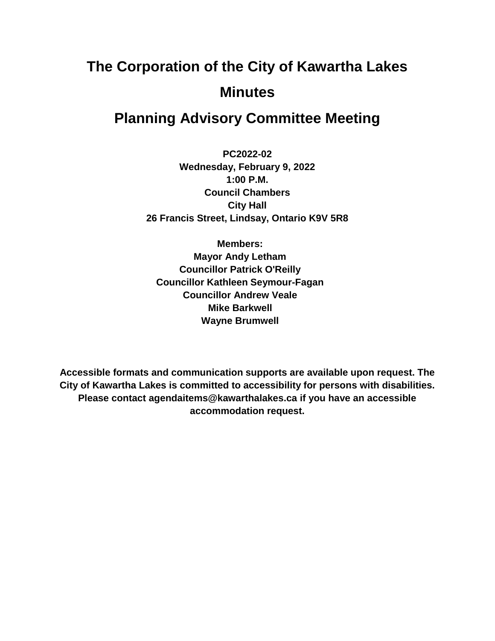# **The Corporation of the City of Kawartha Lakes Minutes**

# **Planning Advisory Committee Meeting**

**PC2022-02 Wednesday, February 9, 2022 1:00 P.M. Council Chambers City Hall 26 Francis Street, Lindsay, Ontario K9V 5R8**

**Members: Mayor Andy Letham Councillor Patrick O'Reilly Councillor Kathleen Seymour-Fagan Councillor Andrew Veale Mike Barkwell Wayne Brumwell**

**Accessible formats and communication supports are available upon request. The City of Kawartha Lakes is committed to accessibility for persons with disabilities. Please contact agendaitems@kawarthalakes.ca if you have an accessible accommodation request.**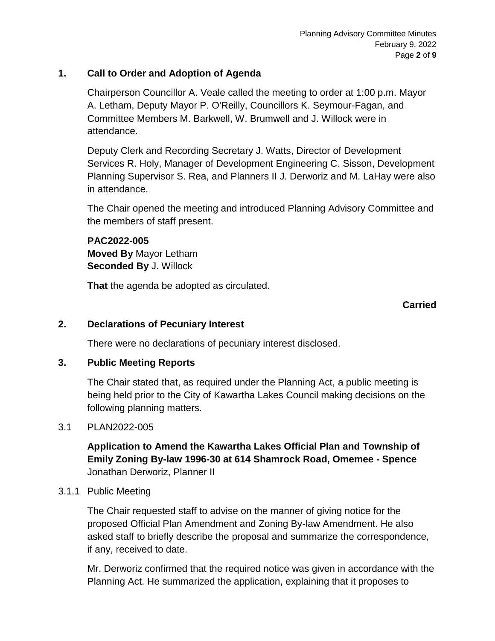#### **1. Call to Order and Adoption of Agenda**

Chairperson Councillor A. Veale called the meeting to order at 1:00 p.m. Mayor A. Letham, Deputy Mayor P. O'Reilly, Councillors K. Seymour-Fagan, and Committee Members M. Barkwell, W. Brumwell and J. Willock were in attendance.

Deputy Clerk and Recording Secretary J. Watts, Director of Development Services R. Holy, Manager of Development Engineering C. Sisson, Development Planning Supervisor S. Rea, and Planners II J. Derworiz and M. LaHay were also in attendance.

The Chair opened the meeting and introduced Planning Advisory Committee and the members of staff present.

#### **PAC2022-005 Moved By** Mayor Letham **Seconded By** J. Willock

**That** the agenda be adopted as circulated.

#### **Carried**

#### **2. Declarations of Pecuniary Interest**

There were no declarations of pecuniary interest disclosed.

#### **3. Public Meeting Reports**

The Chair stated that, as required under the Planning Act, a public meeting is being held prior to the City of Kawartha Lakes Council making decisions on the following planning matters.

#### 3.1 PLAN2022-005

**Application to Amend the Kawartha Lakes Official Plan and Township of Emily Zoning By-law 1996-30 at 614 Shamrock Road, Omemee - Spence** Jonathan Derworiz, Planner II

#### 3.1.1 Public Meeting

The Chair requested staff to advise on the manner of giving notice for the proposed Official Plan Amendment and Zoning By-law Amendment. He also asked staff to briefly describe the proposal and summarize the correspondence, if any, received to date.

Mr. Derworiz confirmed that the required notice was given in accordance with the Planning Act. He summarized the application, explaining that it proposes to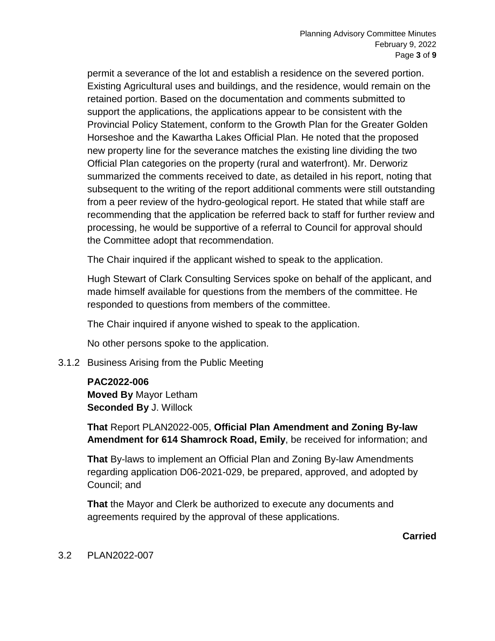permit a severance of the lot and establish a residence on the severed portion. Existing Agricultural uses and buildings, and the residence, would remain on the retained portion. Based on the documentation and comments submitted to support the applications, the applications appear to be consistent with the Provincial Policy Statement, conform to the Growth Plan for the Greater Golden Horseshoe and the Kawartha Lakes Official Plan. He noted that the proposed new property line for the severance matches the existing line dividing the two Official Plan categories on the property (rural and waterfront). Mr. Derworiz summarized the comments received to date, as detailed in his report, noting that subsequent to the writing of the report additional comments were still outstanding from a peer review of the hydro-geological report. He stated that while staff are recommending that the application be referred back to staff for further review and processing, he would be supportive of a referral to Council for approval should the Committee adopt that recommendation.

The Chair inquired if the applicant wished to speak to the application.

Hugh Stewart of Clark Consulting Services spoke on behalf of the applicant, and made himself available for questions from the members of the committee. He responded to questions from members of the committee.

The Chair inquired if anyone wished to speak to the application.

No other persons spoke to the application.

3.1.2 Business Arising from the Public Meeting

#### **PAC2022-006**

**Moved By** Mayor Letham **Seconded By** J. Willock

**That** Report PLAN2022-005, **Official Plan Amendment and Zoning By-law Amendment for 614 Shamrock Road, Emily**, be received for information; and

**That** By-laws to implement an Official Plan and Zoning By-law Amendments regarding application D06-2021-029, be prepared, approved, and adopted by Council; and

**That** the Mayor and Clerk be authorized to execute any documents and agreements required by the approval of these applications.

**Carried**

#### 3.2 PLAN2022-007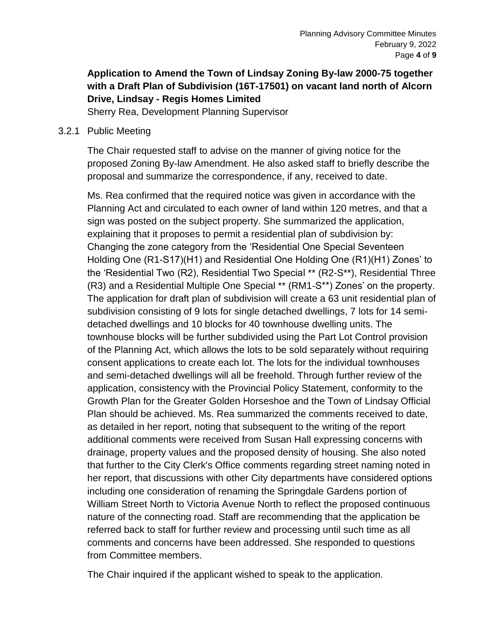### **Application to Amend the Town of Lindsay Zoning By-law 2000-75 together with a Draft Plan of Subdivision (16T-17501) on vacant land north of Alcorn Drive, Lindsay - Regis Homes Limited**

Sherry Rea, Development Planning Supervisor

#### 3.2.1 Public Meeting

The Chair requested staff to advise on the manner of giving notice for the proposed Zoning By-law Amendment. He also asked staff to briefly describe the proposal and summarize the correspondence, if any, received to date.

Ms. Rea confirmed that the required notice was given in accordance with the Planning Act and circulated to each owner of land within 120 metres, and that a sign was posted on the subject property. She summarized the application, explaining that it proposes to permit a residential plan of subdivision by: Changing the zone category from the 'Residential One Special Seventeen Holding One (R1-S17)(H1) and Residential One Holding One (R1)(H1) Zones' to the 'Residential Two (R2), Residential Two Special \*\* (R2-S\*\*), Residential Three (R3) and a Residential Multiple One Special \*\* (RM1-S\*\*) Zones' on the property. The application for draft plan of subdivision will create a 63 unit residential plan of subdivision consisting of 9 lots for single detached dwellings, 7 lots for 14 semidetached dwellings and 10 blocks for 40 townhouse dwelling units. The townhouse blocks will be further subdivided using the Part Lot Control provision of the Planning Act, which allows the lots to be sold separately without requiring consent applications to create each lot. The lots for the individual townhouses and semi-detached dwellings will all be freehold. Through further review of the application, consistency with the Provincial Policy Statement, conformity to the Growth Plan for the Greater Golden Horseshoe and the Town of Lindsay Official Plan should be achieved. Ms. Rea summarized the comments received to date, as detailed in her report, noting that subsequent to the writing of the report additional comments were received from Susan Hall expressing concerns with drainage, property values and the proposed density of housing. She also noted that further to the City Clerk's Office comments regarding street naming noted in her report, that discussions with other City departments have considered options including one consideration of renaming the Springdale Gardens portion of William Street North to Victoria Avenue North to reflect the proposed continuous nature of the connecting road. Staff are recommending that the application be referred back to staff for further review and processing until such time as all comments and concerns have been addressed. She responded to questions from Committee members.

The Chair inquired if the applicant wished to speak to the application.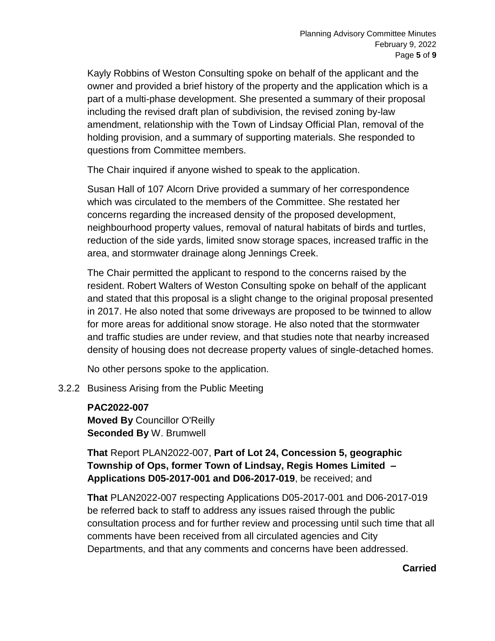Kayly Robbins of Weston Consulting spoke on behalf of the applicant and the owner and provided a brief history of the property and the application which is a part of a multi-phase development. She presented a summary of their proposal including the revised draft plan of subdivision, the revised zoning by-law amendment, relationship with the Town of Lindsay Official Plan, removal of the holding provision, and a summary of supporting materials. She responded to questions from Committee members.

The Chair inquired if anyone wished to speak to the application.

Susan Hall of 107 Alcorn Drive provided a summary of her correspondence which was circulated to the members of the Committee. She restated her concerns regarding the increased density of the proposed development, neighbourhood property values, removal of natural habitats of birds and turtles, reduction of the side yards, limited snow storage spaces, increased traffic in the area, and stormwater drainage along Jennings Creek.

The Chair permitted the applicant to respond to the concerns raised by the resident. Robert Walters of Weston Consulting spoke on behalf of the applicant and stated that this proposal is a slight change to the original proposal presented in 2017. He also noted that some driveways are proposed to be twinned to allow for more areas for additional snow storage. He also noted that the stormwater and traffic studies are under review, and that studies note that nearby increased density of housing does not decrease property values of single-detached homes.

No other persons spoke to the application.

#### 3.2.2 Business Arising from the Public Meeting

**PAC2022-007 Moved By** Councillor O'Reilly **Seconded By** W. Brumwell

**That** Report PLAN2022-007, **Part of Lot 24, Concession 5, geographic Township of Ops, former Town of Lindsay, Regis Homes Limited – Applications D05-2017-001 and D06-2017-019**, be received; and

**That** PLAN2022-007 respecting Applications D05-2017-001 and D06-2017-019 be referred back to staff to address any issues raised through the public consultation process and for further review and processing until such time that all comments have been received from all circulated agencies and City Departments, and that any comments and concerns have been addressed.

#### **Carried**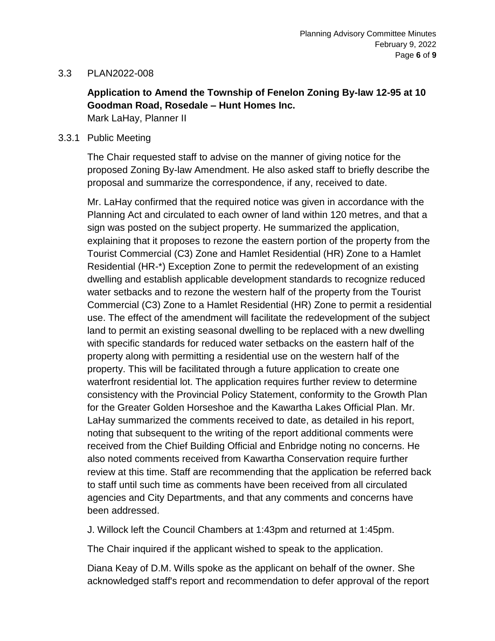#### 3.3 PLAN2022-008

## **Application to Amend the Township of Fenelon Zoning By-law 12-95 at 10 Goodman Road, Rosedale – Hunt Homes Inc.**

Mark LaHay, Planner II

#### 3.3.1 Public Meeting

The Chair requested staff to advise on the manner of giving notice for the proposed Zoning By-law Amendment. He also asked staff to briefly describe the proposal and summarize the correspondence, if any, received to date.

Mr. LaHay confirmed that the required notice was given in accordance with the Planning Act and circulated to each owner of land within 120 metres, and that a sign was posted on the subject property. He summarized the application, explaining that it proposes to rezone the eastern portion of the property from the Tourist Commercial (C3) Zone and Hamlet Residential (HR) Zone to a Hamlet Residential (HR-\*) Exception Zone to permit the redevelopment of an existing dwelling and establish applicable development standards to recognize reduced water setbacks and to rezone the western half of the property from the Tourist Commercial (C3) Zone to a Hamlet Residential (HR) Zone to permit a residential use. The effect of the amendment will facilitate the redevelopment of the subject land to permit an existing seasonal dwelling to be replaced with a new dwelling with specific standards for reduced water setbacks on the eastern half of the property along with permitting a residential use on the western half of the property. This will be facilitated through a future application to create one waterfront residential lot. The application requires further review to determine consistency with the Provincial Policy Statement, conformity to the Growth Plan for the Greater Golden Horseshoe and the Kawartha Lakes Official Plan. Mr. LaHay summarized the comments received to date, as detailed in his report, noting that subsequent to the writing of the report additional comments were received from the Chief Building Official and Enbridge noting no concerns. He also noted comments received from Kawartha Conservation require further review at this time. Staff are recommending that the application be referred back to staff until such time as comments have been received from all circulated agencies and City Departments, and that any comments and concerns have been addressed.

J. Willock left the Council Chambers at 1:43pm and returned at 1:45pm.

The Chair inquired if the applicant wished to speak to the application.

Diana Keay of D.M. Wills spoke as the applicant on behalf of the owner. She acknowledged staff's report and recommendation to defer approval of the report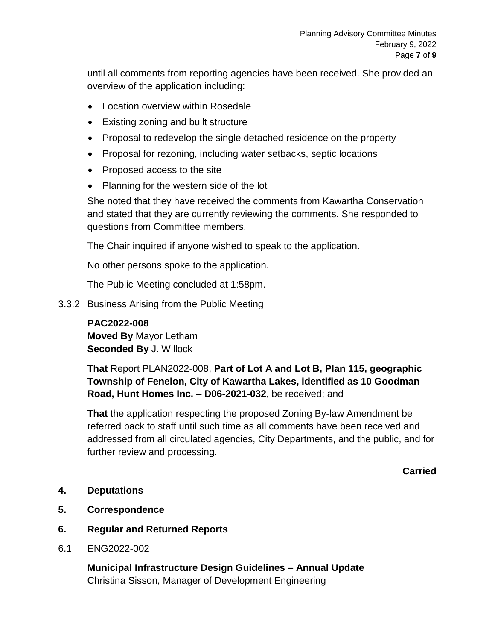until all comments from reporting agencies have been received. She provided an overview of the application including:

- Location overview within Rosedale
- Existing zoning and built structure
- Proposal to redevelop the single detached residence on the property
- Proposal for rezoning, including water setbacks, septic locations
- Proposed access to the site
- Planning for the western side of the lot

She noted that they have received the comments from Kawartha Conservation and stated that they are currently reviewing the comments. She responded to questions from Committee members.

The Chair inquired if anyone wished to speak to the application.

No other persons spoke to the application.

The Public Meeting concluded at 1:58pm.

3.3.2 Business Arising from the Public Meeting

# **PAC2022-008**

**Moved By** Mayor Letham **Seconded By** J. Willock

**That** Report PLAN2022-008, **Part of Lot A and Lot B, Plan 115, geographic Township of Fenelon, City of Kawartha Lakes, identified as 10 Goodman Road, Hunt Homes Inc. – D06-2021-032**, be received; and

**That** the application respecting the proposed Zoning By-law Amendment be referred back to staff until such time as all comments have been received and addressed from all circulated agencies, City Departments, and the public, and for further review and processing.

**Carried**

- **4. Deputations**
- **5. Correspondence**
- **6. Regular and Returned Reports**
- 6.1 ENG2022-002

**Municipal Infrastructure Design Guidelines – Annual Update** Christina Sisson, Manager of Development Engineering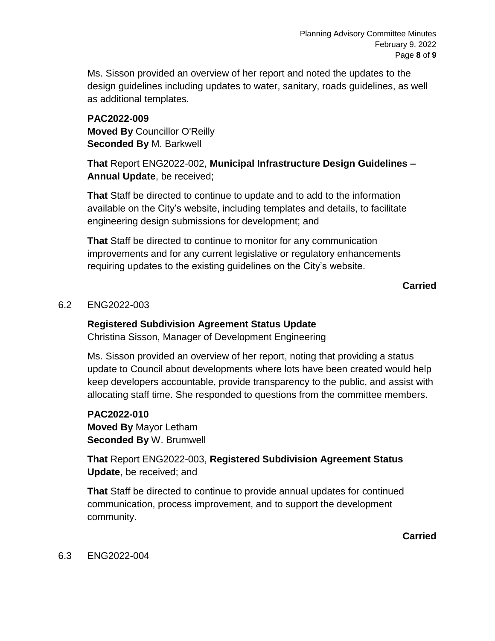Ms. Sisson provided an overview of her report and noted the updates to the design guidelines including updates to water, sanitary, roads guidelines, as well as additional templates.

#### **PAC2022-009 Moved By** Councillor O'Reilly **Seconded By** M. Barkwell

**That** Report ENG2022-002, **Municipal Infrastructure Design Guidelines – Annual Update**, be received;

**That** Staff be directed to continue to update and to add to the information available on the City's website, including templates and details, to facilitate engineering design submissions for development; and

**That** Staff be directed to continue to monitor for any communication improvements and for any current legislative or regulatory enhancements requiring updates to the existing guidelines on the City's website.

**Carried**

#### 6.2 ENG2022-003

#### **Registered Subdivision Agreement Status Update**

Christina Sisson, Manager of Development Engineering

Ms. Sisson provided an overview of her report, noting that providing a status update to Council about developments where lots have been created would help keep developers accountable, provide transparency to the public, and assist with allocating staff time. She responded to questions from the committee members.

#### **PAC2022-010**

**Moved By** Mayor Letham **Seconded By** W. Brumwell

**That** Report ENG2022-003, **Registered Subdivision Agreement Status Update**, be received; and

**That** Staff be directed to continue to provide annual updates for continued communication, process improvement, and to support the development community.

**Carried**

#### 6.3 ENG2022-004